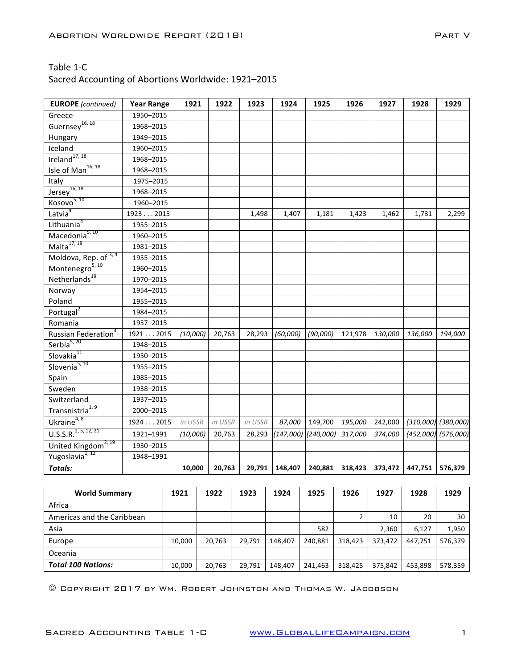### Sacred Accounting of Abortions Worldwide: 1921-2015

| <b>EUROPE</b> (continued)            | <b>Year Range</b> | 1921     | 1922    | 1923    | 1924                    | 1925     | 1926    | 1927    | 1928    | 1929                    |
|--------------------------------------|-------------------|----------|---------|---------|-------------------------|----------|---------|---------|---------|-------------------------|
| Greece                               | 1950-2015         |          |         |         |                         |          |         |         |         |                         |
| Guernsey <sup>16, 18</sup>           | 1968-2015         |          |         |         |                         |          |         |         |         |                         |
| Hungary                              | 1949-2015         |          |         |         |                         |          |         |         |         |                         |
| Iceland                              | 1960-2015         |          |         |         |                         |          |         |         |         |                         |
| Ireland <sup>17, 18</sup>            | 1968-2015         |          |         |         |                         |          |         |         |         |                         |
| Isle of Man <sup>16, 18</sup>        | 1968-2015         |          |         |         |                         |          |         |         |         |                         |
| Italy                                | 1975-2015         |          |         |         |                         |          |         |         |         |                         |
| $Jersey^{16, 18}$                    | 1968-2015         |          |         |         |                         |          |         |         |         |                         |
| Kosovo <sup>5, 10</sup>              | 1960-2015         |          |         |         |                         |          |         |         |         |                         |
| Latvia <sup>4</sup>                  | 19232015          |          |         | 1,498   | 1,407                   | 1,181    | 1,423   | 1,462   | 1,731   | 2,299                   |
| Lithuania <sup>4</sup>               | 1955-2015         |          |         |         |                         |          |         |         |         |                         |
| Macedonia <sup>5, 10</sup>           | 1960-2015         |          |         |         |                         |          |         |         |         |                         |
| Malta <sup>17, 18</sup>              | 1981-2015         |          |         |         |                         |          |         |         |         |                         |
| Moldova, Rep. of $3, 4$              | 1955-2015         |          |         |         |                         |          |         |         |         |                         |
| Montenegro <sup>5, 10</sup>          | 1960-2015         |          |         |         |                         |          |         |         |         |                         |
| Netherlands <sup>19</sup>            | 1970-2015         |          |         |         |                         |          |         |         |         |                         |
| Norway                               | 1954-2015         |          |         |         |                         |          |         |         |         |                         |
| Poland                               | 1955-2015         |          |         |         |                         |          |         |         |         |                         |
| Portugal <sup>2</sup>                | 1984-2015         |          |         |         |                         |          |         |         |         |                         |
| Romania                              | 1957-2015         |          |         |         |                         |          |         |         |         |                         |
| Russian Federation <sup>4</sup>      | 19212015          | (10,000) | 20,763  | 28,293  | (60,000)                | (90,000) | 121,978 | 130,000 | 136,000 | 194,000                 |
| Serbia $5, 20$                       | 1948-2015         |          |         |         |                         |          |         |         |         |                         |
| Slovakia <sup>11</sup>               | 1950-2015         |          |         |         |                         |          |         |         |         |                         |
| Slovenia <sup>5, 10</sup>            | 1955-2015         |          |         |         |                         |          |         |         |         |                         |
| Spain                                | 1985-2015         |          |         |         |                         |          |         |         |         |                         |
| Sweden                               | 1938-2015         |          |         |         |                         |          |         |         |         |                         |
| Switzerland                          | 1937-2015         |          |         |         |                         |          |         |         |         |                         |
| Transnistria <sup>1, 9</sup>         | 2000-2015         |          |         |         |                         |          |         |         |         |                         |
| Ukraine <sup>4, 8</sup>              | 19242015          | in USSR  | in USSR | in USSR | 87,000                  | 149,700  | 195,000 | 242,000 |         | $(310,000)$ $(380,000)$ |
| $\overline{U.S.S.R.}^{2, 5, 12, 21}$ | 1921-1991         | (10,000) | 20,763  | 28,293  | $(147,000)$ $(240,000)$ |          | 317,000 | 374,000 |         | (452,000) (576,000)     |
| United Kingdom <sup>2, 19</sup>      | 1930-2015         |          |         |         |                         |          |         |         |         |                         |
| Yugoslavia <sup>1, 12</sup>          | 1948-1991         |          |         |         |                         |          |         |         |         |                         |
| <b>Totals:</b>                       |                   | 10,000   | 20,763  | 29,791  | 148,407                 | 240,881  | 318,423 | 373,472 | 447,751 | 576,379                 |

| <b>World Summary</b>       | 1921   | 1922   | 1923   | 1924    | 1925    | 1926    | 1927    | 1928    | 1929    |
|----------------------------|--------|--------|--------|---------|---------|---------|---------|---------|---------|
| Africa                     |        |        |        |         |         |         |         |         |         |
| Americas and the Caribbean |        |        |        |         |         |         | 10      | 20      | 30      |
| Asia                       |        |        |        |         | 582     |         | 2,360   | 6,127   | 1,950   |
| Europe                     | 10.000 | 20,763 | 29.791 | 148.407 | 240,881 | 318,423 | 373.472 | 447.751 | 576,379 |
| Oceania                    |        |        |        |         |         |         |         |         |         |
| <b>Total 100 Nations:</b>  | 10,000 | 20,763 | 29,791 | 148,407 | 241,463 | 318,425 | 375,842 | 453,898 | 578,359 |

© Copyright 2017 by Wm. Robert Johnston and Thomas W. Jacobson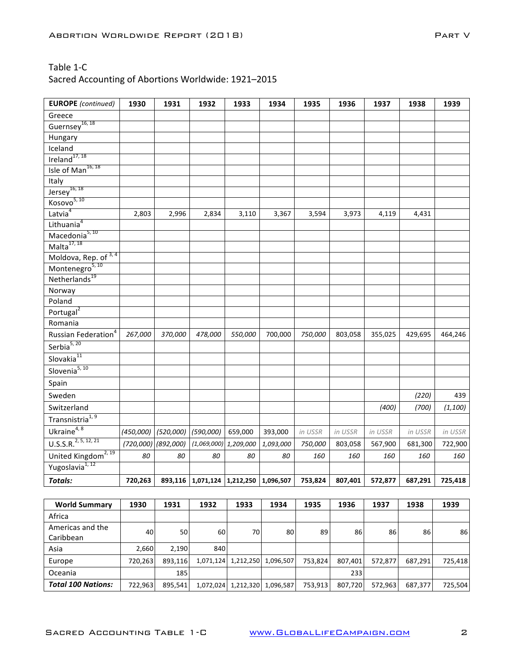| <b>EUROPE</b> (continued)        | 1930      | 1931      | 1932                                        | 1933                     | 1934      | 1935    | 1936    | 1937    | 1938    | 1939     |
|----------------------------------|-----------|-----------|---------------------------------------------|--------------------------|-----------|---------|---------|---------|---------|----------|
| Greece                           |           |           |                                             |                          |           |         |         |         |         |          |
| Guernsey <sup>16, 18</sup>       |           |           |                                             |                          |           |         |         |         |         |          |
| Hungary                          |           |           |                                             |                          |           |         |         |         |         |          |
| Iceland                          |           |           |                                             |                          |           |         |         |         |         |          |
| Ireland $^{17, 18}$              |           |           |                                             |                          |           |         |         |         |         |          |
| Isle of Man <sup>16, 18</sup>    |           |           |                                             |                          |           |         |         |         |         |          |
| Italy                            |           |           |                                             |                          |           |         |         |         |         |          |
| $Jersey^{16, 18}$                |           |           |                                             |                          |           |         |         |         |         |          |
| Kosovo <sup>5, 10</sup>          |           |           |                                             |                          |           |         |         |         |         |          |
| Latvia <sup>4</sup>              | 2,803     | 2,996     | 2,834                                       | 3,110                    | 3,367     | 3,594   | 3,973   | 4,119   | 4,431   |          |
| Lithuania <sup>4</sup>           |           |           |                                             |                          |           |         |         |         |         |          |
| Macedonia <sup>5, 10</sup>       |           |           |                                             |                          |           |         |         |         |         |          |
| Malta <sup>17, 18</sup>          |           |           |                                             |                          |           |         |         |         |         |          |
| Moldova, Rep. of 3, 4            |           |           |                                             |                          |           |         |         |         |         |          |
| Montenegro <sup>5, 10</sup>      |           |           |                                             |                          |           |         |         |         |         |          |
| Netherlands <sup>19</sup>        |           |           |                                             |                          |           |         |         |         |         |          |
| Norway                           |           |           |                                             |                          |           |         |         |         |         |          |
| Poland                           |           |           |                                             |                          |           |         |         |         |         |          |
| Portugal <sup>2</sup>            |           |           |                                             |                          |           |         |         |         |         |          |
| Romania                          |           |           |                                             |                          |           |         |         |         |         |          |
| Russian Federation <sup>4</sup>  | 267,000   | 370,000   | 478,000                                     | 550,000                  | 700,000   | 750,000 | 803,058 | 355,025 | 429,695 | 464,246  |
| Serbia <sup>5, 20</sup>          |           |           |                                             |                          |           |         |         |         |         |          |
| Slovakia $11$                    |           |           |                                             |                          |           |         |         |         |         |          |
| Slovenia <sup>5, 10</sup>        |           |           |                                             |                          |           |         |         |         |         |          |
| Spain                            |           |           |                                             |                          |           |         |         |         |         |          |
| Sweden                           |           |           |                                             |                          |           |         |         |         | (220)   | 439      |
| Switzerland                      |           |           |                                             |                          |           |         |         | (400)   | (700)   | (1, 100) |
| Transnistria <sup>1, 9</sup>     |           |           |                                             |                          |           |         |         |         |         |          |
| Ukraine $4, 8$                   | (450,000) | (520,000) | (590,000)                                   | 659,000                  | 393,000   | in USSR | in USSR | in USSR | in USSR | in USSR  |
| U.S.S.R. <sup>2, 5, 12, 21</sup> | (720,000) | (892,000) | (1,069,000)                                 | 1,209,000                | 1,093,000 | 750,000 | 803,058 | 567,900 | 681,300 | 722,900  |
| United Kingdom <sup>2, 19</sup>  | 80        | 80        | 80                                          | 80                       | 80        | 160     | 160     | 160     | 160     | 160      |
| Yugoslavia <sup>1, 12</sup>      |           |           |                                             |                          |           |         |         |         |         |          |
| <b>Totals:</b>                   | 720,263   |           | 893,116   1,071,124   1,212,250   1,096,507 |                          |           | 753,824 | 807,401 | 572,877 | 687,291 | 725,418  |
|                                  |           |           |                                             |                          |           |         |         |         |         |          |
| <b>World Summary</b>             | 1930      | 1931      | 1932                                        | 1933                     | 1934      | 1935    | 1936    | 1937    | 1938    | 1939     |
| Africa                           |           |           |                                             |                          |           |         |         |         |         |          |
| Americas and the                 | $\sim$    | $\sim$    | $\sim$                                      | $\overline{\phantom{a}}$ | $\sim$    | $\sim$  | $\sim$  | $\sim$  | $\sim$  | $\sim$   |

| ATTIC TURN QITU LITC      | 40      | 50      | 60 l | 70 | 80                            | 89      | 86      | 86      | 86      | 86      |
|---------------------------|---------|---------|------|----|-------------------------------|---------|---------|---------|---------|---------|
| Caribbean                 |         |         |      |    |                               |         |         |         |         |         |
| Asia                      | 2.660   | 2.190   | 840  |    |                               |         |         |         |         |         |
| Europe                    | 720.263 | 893.116 |      |    | 1,071,124 1,212,250 1,096,507 | 753.824 | 807.401 | 572.877 | 687.291 | 725.418 |
| Oceania                   |         | 185     |      |    |                               |         | 2331    |         |         |         |
| <b>Total 100 Nations:</b> | 722,963 | 895.541 |      |    | 1,072,024 1,212,320 1,096,587 | 753,913 | 807,720 | 572,963 | 687.377 | 725.504 |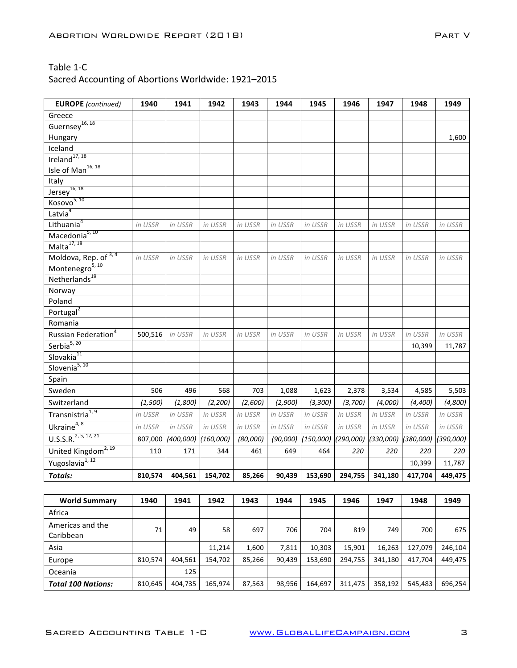| <b>EUROPE</b> (continued)        | 1940    | 1941      | 1942      | 1943     | 1944     | 1945      | 1946      | 1947      | 1948      | 1949      |
|----------------------------------|---------|-----------|-----------|----------|----------|-----------|-----------|-----------|-----------|-----------|
| Greece                           |         |           |           |          |          |           |           |           |           |           |
| Guernsey <sup>16, 18</sup>       |         |           |           |          |          |           |           |           |           |           |
| Hungary                          |         |           |           |          |          |           |           |           |           | 1,600     |
| Iceland                          |         |           |           |          |          |           |           |           |           |           |
| Ireland $^{17, 18}$              |         |           |           |          |          |           |           |           |           |           |
| Isle of Man <sup>16, 18</sup>    |         |           |           |          |          |           |           |           |           |           |
| Italy                            |         |           |           |          |          |           |           |           |           |           |
| $Jersey^{16, 18}$                |         |           |           |          |          |           |           |           |           |           |
| Kosovo <sup>5, 10</sup>          |         |           |           |          |          |           |           |           |           |           |
| Latvia <sup>4</sup>              |         |           |           |          |          |           |           |           |           |           |
| Lithuania <sup>4</sup>           | in USSR | in USSR   | in USSR   | in USSR  | in USSR  | in USSR   | in USSR   | in USSR   | in USSR   | in USSR   |
| Macedonia <sup>5, 10</sup>       |         |           |           |          |          |           |           |           |           |           |
| Malta <sup>17, 18</sup>          |         |           |           |          |          |           |           |           |           |           |
| Moldova, Rep. of 3,4             | in USSR | in USSR   | in USSR   | in USSR  | in USSR  | in USSR   | in USSR   | in USSR   | in USSR   | in USSR   |
| Montenegro <sup>5, 10</sup>      |         |           |           |          |          |           |           |           |           |           |
| Netherlands <sup>19</sup>        |         |           |           |          |          |           |           |           |           |           |
| Norway                           |         |           |           |          |          |           |           |           |           |           |
| Poland                           |         |           |           |          |          |           |           |           |           |           |
| Portugal <sup>2</sup>            |         |           |           |          |          |           |           |           |           |           |
| Romania                          |         |           |           |          |          |           |           |           |           |           |
| Russian Federation <sup>4</sup>  | 500,516 | in USSR   | in USSR   | in USSR  | in USSR  | in USSR   | in USSR   | in USSR   | in USSR   | in USSR   |
| Serbia $5, 20$                   |         |           |           |          |          |           |           |           | 10,399    | 11,787    |
| Slovakia <sup>11</sup>           |         |           |           |          |          |           |           |           |           |           |
| Slovenia <sup>5, 10</sup>        |         |           |           |          |          |           |           |           |           |           |
| Spain                            |         |           |           |          |          |           |           |           |           |           |
| Sweden                           | 506     | 496       | 568       | 703      | 1,088    | 1,623     | 2,378     | 3,534     | 4,585     | 5,503     |
| Switzerland                      | (1,500) | (1,800)   | (2, 200)  | (2,600)  | (2,900)  | (3, 300)  | (3,700)   | (4,000)   | (4, 400)  | (4,800)   |
| Transnistria <sup>1,9</sup>      | in USSR | in USSR   | in USSR   | in USSR  | in USSR  | in USSR   | in USSR   | in USSR   | in USSR   | in USSR   |
| Ukraine <sup>4, 8</sup>          | in USSR | in USSR   | in USSR   | in USSR  | in USSR  | in USSR   | in USSR   | in USSR   | in USSR   | in USSR   |
| 0.5.5.R. <sup>2, 5, 12, 21</sup> | 807,000 | (400,000) | (160,000) | (80,000) | (90,000) | (150,000) | (290,000) | (330,000) | (380,000) | (390,000) |
| United Kingdom <sup>2, 19</sup>  | 110     | 171       | 344       | 461      | 649      | 464       | 220       | 220       | 220       | 220       |
| Yugoslavia $\frac{1}{12}$        |         |           |           |          |          |           |           |           | 10,399    | 11,787    |
| <b>Totals:</b>                   | 810,574 | 404,561   | 154,702   | 85,266   | 90,439   | 153,690   | 294,755   | 341,180   | 417,704   | 449,475   |

| <b>World Summary</b>          | 1940    | 1941    | 1942    | 1943   | 1944   | 1945    | 1946    | 1947    | 1948    | 1949    |
|-------------------------------|---------|---------|---------|--------|--------|---------|---------|---------|---------|---------|
| Africa                        |         |         |         |        |        |         |         |         |         |         |
| Americas and the<br>Caribbean | 71      | 49      | 58      | 697    | 706    | 704     | 819     | 749     | 700     | 675     |
| Asia                          |         |         | 11.214  | 1,600  | 7.811  | 10.303  | 15.901  | 16,263  | 127,079 | 246,104 |
| Europe                        | 810,574 | 404,561 | 154.702 | 85,266 | 90,439 | 153,690 | 294,755 | 341,180 | 417,704 | 449,475 |
| Oceania                       |         | 125     |         |        |        |         |         |         |         |         |
| <b>Total 100 Nations:</b>     | 810,645 | 404,735 | 165,974 | 87,563 | 98,956 | 164,697 | 311,475 | 358,192 | 545,483 | 696,254 |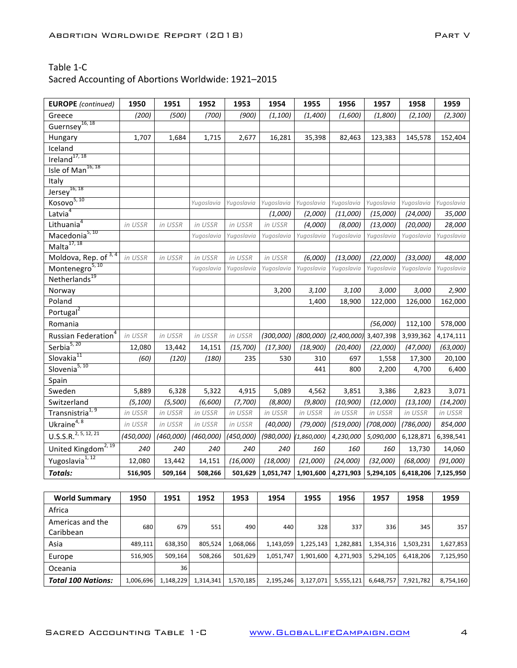| <b>EUROPE</b> (continued)            | 1950      | 1951      | 1952       | 1953       | 1954       | 1955        | 1956        | 1957       | 1958       | 1959       |
|--------------------------------------|-----------|-----------|------------|------------|------------|-------------|-------------|------------|------------|------------|
| Greece                               | (200)     | (500)     | (700)      | (900)      | (1, 100)   | (1,400)     | (1,600)     | (1,800)    | (2, 100)   | (2,300)    |
| Guernsey <sup>16, 18</sup>           |           |           |            |            |            |             |             |            |            |            |
| Hungary                              | 1,707     | 1,684     | 1,715      | 2,677      | 16,281     | 35,398      | 82,463      | 123,383    | 145,578    | 152,404    |
| Iceland                              |           |           |            |            |            |             |             |            |            |            |
| Ireland <sup>17, 18</sup>            |           |           |            |            |            |             |             |            |            |            |
| Isle of Man <sup>16, 18</sup>        |           |           |            |            |            |             |             |            |            |            |
| Italy                                |           |           |            |            |            |             |             |            |            |            |
| $Jersey^{16, 18}$                    |           |           |            |            |            |             |             |            |            |            |
| Kosovo <sup>5, 10</sup>              |           |           | Yugoslavia | Yugoslavia | Yugoslavia | Yugoslavia  | Yugoslavia  | Yugoslavia | Yugoslavia | Yugoslavia |
| Latvia <sup>4</sup>                  |           |           |            |            | (1,000)    | (2,000)     | (11,000)    | (15,000)   | (24,000)   | 35,000     |
| Lithuania <sup>4</sup>               | in USSR   | in USSR   | in USSR    | in USSR    | in USSR    | (4,000)     | (8,000)     | (13,000)   | (20,000)   | 28,000     |
| Macedonia <sup>5, 10</sup>           |           |           | Yugoslavia | Yugoslavia | Yugoslavia | Yugoslavia  | Yugoslavia  | Yugoslavia | Yugoslavia | Yugoslavia |
| Malta $17, 18$                       |           |           |            |            |            |             |             |            |            |            |
| Moldova, Rep. of 3, 4                | in USSR   | in USSR   | in USSR    | in USSR    | in USSR    | (6,000)     | (13,000)    | (22,000)   | (33,000)   | 48,000     |
| Montenegro <sup>5, 10</sup>          |           |           | Yugoslavia | Yugoslavia | Yugoslavia | Yugoslavia  | Yugoslavia  | Yugoslavia | Yugoslavia | Yugoslavia |
| Netherlands <sup>19</sup>            |           |           |            |            |            |             |             |            |            |            |
| Norway                               |           |           |            |            | 3,200      | 3,100       | 3,100       | 3,000      | 3,000      | 2,900      |
| Poland                               |           |           |            |            |            | 1,400       | 18,900      | 122,000    | 126,000    | 162,000    |
| Portugal <sup>2</sup>                |           |           |            |            |            |             |             |            |            |            |
| Romania                              |           |           |            |            |            |             |             | (56,000)   | 112,100    | 578,000    |
| Russian Federation <sup>4</sup>      | in USSR   | in USSR   | in USSR    | in USSR    | (300,000)  | (800,000)   | (2,400,000) | 3,407,398  | 3,939,362  | 4,174,111  |
| Serbia <sup>5, 20</sup>              | 12,080    | 13,442    | 14,151     | (15, 700)  | (17, 300)  | (18,900)    | (20, 400)   | (22,000)   | (47,000)   | (63,000)   |
| Slovakia <sup>11</sup>               | (60)      | (120)     | (180)      | 235        | 530        | 310         | 697         | 1,558      | 17,300     | 20,100     |
| Slovenia <sup>5, 10</sup>            |           |           |            |            |            | 441         | 800         | 2,200      | 4,700      | 6,400      |
| Spain                                |           |           |            |            |            |             |             |            |            |            |
| Sweden                               | 5,889     | 6,328     | 5,322      | 4,915      | 5,089      | 4,562       | 3,851       | 3,386      | 2,823      | 3,071      |
| Switzerland                          | (5, 100)  | (5,500)   | (6,600)    | (7,700)    | (8,800)    | (9,800)     | (10, 900)   | (12,000)   | (13, 100)  | (14, 200)  |
| Transnistria <sup>1, 9</sup>         | in USSR   | in USSR   | in USSR    | in USSR    | in USSR    | in USSR     | in USSR     | in USSR    | in USSR    | in USSR    |
| Ukrain $e^{4,8}$                     | in USSR   | in USSR   | in USSR    | in USSR    | (40,000)   | (79,000)    | (519,000)   | (708,000)  | (786,000)  | 854,000    |
| $U.S.\overline{S.R.}^{2, 5, 12, 21}$ | (450,000) | (460,000) | (460,000)  | (450,000)  | (980,000)  | (1,860,000) | 4,230,000   | 5,090,000  | 6,128,871  | 6,398,541  |
| United Kingdom <sup>2, 19</sup>      | 240       | 240       | 240        | 240        | 240        | 160         | 160         | 160        | 13,730     | 14,060     |
| Yugoslavia <sup>1, 12</sup>          | 12,080    | 13,442    | 14,151     | (16,000)   | (18,000)   | (21,000)    | (24,000)    | (32,000)   | (68,000)   | (91,000)   |
| <b>Totals:</b>                       | 516,905   | 509,164   | 508,266    | 501,629    | 1,051,747  | 1,901,600   | 4,271,903   | 5,294,105  | 6,418,206  | 7,125,950  |

| <b>World Summary</b>          | 1950      | 1951      | 1952      | 1953      | 1954      | 1955      | 1956      | 1957      | 1958      | 1959      |
|-------------------------------|-----------|-----------|-----------|-----------|-----------|-----------|-----------|-----------|-----------|-----------|
| Africa                        |           |           |           |           |           |           |           |           |           |           |
| Americas and the<br>Caribbean | 680       | 679       | 551       | 490       | 440       | 328       | 337       | 336       | 345       | 357       |
| Asia                          | 489,111   | 638,350   | 805,524   | 1,068,066 | 1,143,059 | 1,225,143 | 1,282,881 | 1,354,316 | 1,503,231 | 1,627,853 |
| Europe                        | 516,905   | 509.164   | 508.266   | 501,629   | 1,051,747 | 1,901,600 | 4,271,903 | 5,294,105 | 6,418,206 | 7,125,950 |
| Oceania                       |           | 36        |           |           |           |           |           |           |           |           |
| <b>Total 100 Nations:</b>     | 1,006,696 | 1,148,229 | 1,314,341 | 1,570,185 | 2,195,246 | 3,127,071 | 5,555,121 | 6,648,757 | 7,921,782 | 8,754,160 |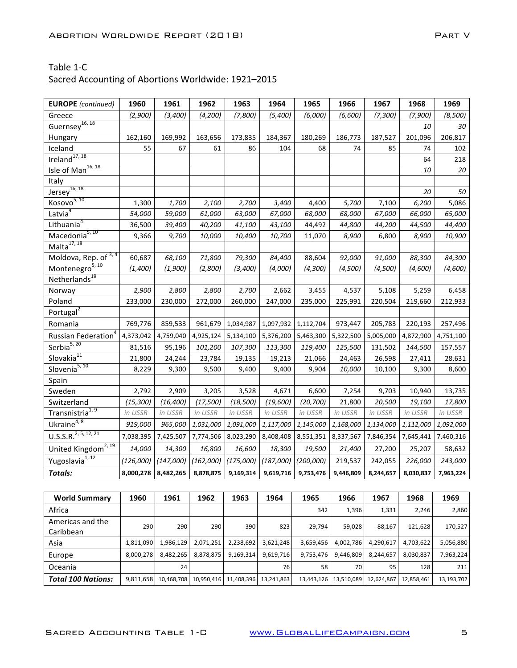| <b>EUROPE</b> (continued)        | 1960      | 1961                | 1962      | 1963      | 1964      | 1965      | 1966      | 1967      | 1968      | 1969      |
|----------------------------------|-----------|---------------------|-----------|-----------|-----------|-----------|-----------|-----------|-----------|-----------|
| Greece                           | (2,900)   | (3,400)             | (4, 200)  | (7,800)   | (5,400)   | (6,000)   | (6,600)   | (7, 300)  | (7,900)   | (8,500)   |
| Guernsey <sup>16, 18</sup>       |           |                     |           |           |           |           |           |           | 10        | 30        |
| Hungary                          | 162,160   | 169,992             | 163,656   | 173,835   | 184,367   | 180,269   | 186,773   | 187,527   | 201,096   | 206,817   |
| Iceland                          | 55        | 67                  | 61        | 86        | 104       | 68        | 74        | 85        | 74        | 102       |
| Ireland <sup>17, 18</sup>        |           |                     |           |           |           |           |           |           | 64        | 218       |
| Isle of Man <sup>16, 18</sup>    |           |                     |           |           |           |           |           |           | 10        | 20        |
| Italy                            |           |                     |           |           |           |           |           |           |           |           |
| $Jersey^{16, 18}$                |           |                     |           |           |           |           |           |           | 20        | 50        |
| Kosovo <sup>5, 10</sup>          | 1,300     | 1,700               | 2,100     | 2,700     | 3,400     | 4,400     | 5,700     | 7,100     | 6,200     | 5,086     |
| Latvia <sup>4</sup>              | 54,000    | 59,000              | 61,000    | 63,000    | 67,000    | 68,000    | 68,000    | 67,000    | 66,000    | 65,000    |
| Lithuania <sup>4</sup>           | 36,500    | 39,400              | 40,200    | 41,100    | 43,100    | 44,492    | 44,800    | 44,200    | 44,500    | 44,400    |
| Macedonia <sup>5, 10</sup>       | 9,366     | 9,700               | 10,000    | 10,400    | 10,700    | 11,070    | 8,900     | 6,800     | 8,900     | 10,900    |
| Malta $17, 18$                   |           |                     |           |           |           |           |           |           |           |           |
| Moldova, Rep. of 3,4             | 60,687    | 68,100              | 71,800    | 79,300    | 84,400    | 88,604    | 92,000    | 91,000    | 88,300    | 84,300    |
| Montenegro <sup>5, 10</sup>      | (1,400)   | (1,900)             | (2,800)   | (3,400)   | (4,000)   | (4,300)   | (4,500)   | (4,500)   | (4,600)   | (4,600)   |
| Netherlands <sup>19</sup>        |           |                     |           |           |           |           |           |           |           |           |
| Norway                           | 2,900     | 2,800               | 2,800     | 2,700     | 2,662     | 3,455     | 4,537     | 5,108     | 5,259     | 6,458     |
| Poland                           | 233,000   | 230,000             | 272,000   | 260,000   | 247,000   | 235,000   | 225,991   | 220,504   | 219,660   | 212,933   |
| Portugal <sup>2</sup>            |           |                     |           |           |           |           |           |           |           |           |
| Romania                          | 769,776   | 859,533             | 961,679   | 1,034,987 | 1,097,932 | 1,112,704 | 973,447   | 205,783   | 220,193   | 257,496   |
| Russian Federation <sup>4</sup>  | 4,373,042 | 4,759,040           | 4,925,124 | 5,134,100 | 5,376,200 | 5,463,300 | 5,322,500 | 5,005,000 | 4,872,900 | 4,751,100 |
| Serbia <sup>5, 20</sup>          | 81,516    | 95,196              | 101,200   | 107,300   | 113,300   | 119,400   | 125,500   | 131,502   | 144,500   | 157,557   |
| Slovakia <sup>11</sup>           | 21,800    | 24,244              | 23,784    | 19,135    | 19,213    | 21,066    | 24,463    | 26,598    | 27,411    | 28,631    |
| Slovenia <sup>5, 10</sup>        | 8,229     | 9,300               | 9,500     | 9,400     | 9,400     | 9,904     | 10,000    | 10,100    | 9,300     | 8,600     |
| Spain                            |           |                     |           |           |           |           |           |           |           |           |
| Sweden                           | 2,792     | 2,909               | 3,205     | 3,528     | 4,671     | 6,600     | 7,254     | 9,703     | 10,940    | 13,735    |
| Switzerland                      | (15, 300) | (16, 400)           | (17, 500) | (18, 500) | (19,600)  | (20, 700) | 21,800    | 20,500    | 19,100    | 17,800    |
| Transnistria <sup>1, 9</sup>     | in USSR   | in USSR             | in USSR   | in USSR   | in USSR   | in USSR   | in USSR   | in USSR   | in USSR   | in USSR   |
| Ukrain $e^{4,8}$                 | 919,000   | 965,000             | 1,031,000 | 1,091,000 | 1,117,000 | 1,145,000 | 1,168,000 | 1,134,000 | 1,112,000 | 1,092,000 |
| U.S.S.R. <sup>2, 5, 12, 21</sup> | 7,038,395 | 7,425,507           | 7,774,506 | 8,023,290 | 8,408,408 | 8,551,351 | 8,337,567 | 7,846,354 | 7,645,441 | 7,460,316 |
| United Kingdom <sup>2, 19</sup>  | 14,000    | 14,300              | 16,800    | 16,600    | 18,300    | 19,500    | 21,400    | 27,200    | 25,207    | 58,632    |
| Yugoslavia <sup>1,12</sup>       | (126,000) | (147,000)           | (162,000) | (175,000) | (187,000) | (200,000) | 219,537   | 242,055   | 226,000   | 243,000   |
| <b>Totals:</b>                   |           | 8,000,278 8,482,265 | 8,878,875 | 9,169,314 | 9,619,716 | 9,753,476 | 9,446,809 | 8,244,657 | 8,030,837 | 7,963,224 |

| <b>World Summary</b>          | 1960      | 1961       | 1962       | 1963       | 1964       | 1965       | 1966       | 1967       | 1968       | 1969       |
|-------------------------------|-----------|------------|------------|------------|------------|------------|------------|------------|------------|------------|
| Africa                        |           |            |            |            |            | 342        | 1,396      | 1,331      | 2,246      | 2,860      |
| Americas and the<br>Caribbean | 290       | 290        | 290        | 390        | 823        | 29,794     | 59,028     | 88,167     | 121,628    | 170,527    |
| Asia                          | 1,811,090 | 1,986,129  | 2,071,251  | 2,238,692  | 3,621,248  | 3,659,456  | 4,002,786  | 4,290,617  | 4,703,622  | 5,056,880  |
| Europe                        | 8,000,278 | 8,482,265  | 8,878,875  | 9,169,314  | 9,619,716  | 9,753,476  | 9,446,809  | 8,244,657  | 8,030,837  | 7,963,224  |
| Oceania                       |           | 24         |            |            | 76         | 58         | 70 l       | 95         | 128        | 211        |
| <b>Total 100 Nations:</b>     | 9,811,658 | 10,468,708 | 10,950,416 | 11,408,396 | 13,241,863 | 13,443,126 | 13,510,089 | 12,624,867 | 12,858,461 | 13,193,702 |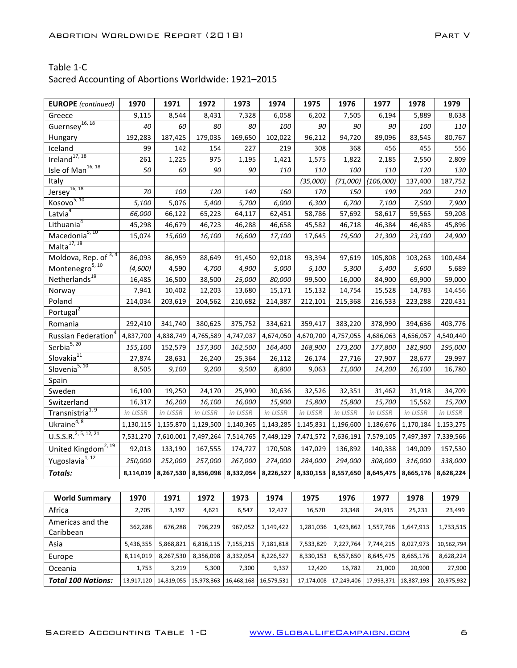| <b>EUROPE</b> (continued)            | 1970      | 1971                | 1972      | 1973      | 1974                          | 1975      | 1976      | 1977      | 1978      | 1979      |
|--------------------------------------|-----------|---------------------|-----------|-----------|-------------------------------|-----------|-----------|-----------|-----------|-----------|
| Greece                               | 9,115     | 8,544               | 8,431     | 7,328     | 6,058                         | 6,202     | 7,505     | 6,194     | 5,889     | 8,638     |
| Guernsey <sup>16, 18</sup>           | 40        | 60                  | 80        | 80        | 100                           | 90        | 90        | 90        | 100       | 110       |
| Hungary                              | 192,283   | 187,425             | 179,035   | 169,650   | 102,022                       | 96,212    | 94,720    | 89,096    | 83,545    | 80,767    |
| Iceland                              | 99        | 142                 | 154       | 227       | 219                           | 308       | 368       | 456       | 455       | 556       |
| Ireland <sup>17, 18</sup>            | 261       | 1,225               | 975       | 1,195     | 1,421                         | 1,575     | 1,822     | 2,185     | 2,550     | 2,809     |
| Isle of Man <sup>16, 18</sup>        | 50        | 60                  | 90        | 90        | 110                           | 110       | 100       | 110       | 120       | 130       |
| Italy                                |           |                     |           |           |                               | (35,000)  | (71,000)  | (106,000) | 137,400   | 187,752   |
| Jersey <sup>16, 18</sup>             | 70        | 100                 | 120       | 140       | 160                           | 170       | 150       | 190       | 200       | 210       |
| Kosovo <sup>5, 10</sup>              | 5,100     | 5,076               | 5,400     | 5,700     | 6,000                         | 6,300     | 6,700     | 7,100     | 7,500     | 7,900     |
| Latvia <sup>4</sup>                  | 66,000    | 66,122              | 65,223    | 64,117    | 62,451                        | 58,786    | 57,692    | 58,617    | 59,565    | 59,208    |
| Lithuania <sup>4</sup>               | 45,298    | 46,679              | 46,723    | 46,288    | 46,658                        | 45,582    | 46,718    | 46,384    | 46,485    | 45,896    |
| Macedonia <sup>5, 10</sup>           | 15,074    | 15,600              | 16,100    | 16,600    | 17,100                        | 17,645    | 19,500    | 21,300    | 23,100    | 24,900    |
| Malta $17, 18$                       |           |                     |           |           |                               |           |           |           |           |           |
| Moldova, Rep. of 3, 4                | 86,093    | 86,959              | 88,649    | 91,450    | 92,018                        | 93,394    | 97,619    | 105,808   | 103,263   | 100,484   |
| Montenegro <sup>5, 10</sup>          | (4,600)   | 4,590               | 4,700     | 4,900     | 5,000                         | 5,100     | 5,300     | 5,400     | 5,600     | 5,689     |
| Netherlands <sup>19</sup>            | 16,485    | 16,500              | 38,500    | 25,000    | 80,000                        | 99,500    | 16,000    | 84,900    | 69,900    | 59,000    |
| Norway                               | 7,941     | 10,402              | 12,203    | 13,680    | 15,171                        | 15,132    | 14,754    | 15,528    | 14,783    | 14,456    |
| Poland                               | 214,034   | 203,619             | 204,562   | 210,682   | 214,387                       | 212,101   | 215,368   | 216,533   | 223,288   | 220,431   |
| Portugal <sup>2</sup>                |           |                     |           |           |                               |           |           |           |           |           |
| Romania                              | 292,410   | 341,740             | 380,625   | 375,752   | 334,621                       | 359,417   | 383,220   | 378,990   | 394,636   | 403,776   |
| Russian Federation <sup>4</sup>      | 4,837,700 | 4,838,749           | 4,765,589 | 4,747,037 | 4,674,050                     | 4,670,700 | 4,757,055 | 4,686,063 | 4,656,057 | 4,540,440 |
| Serbia <sup>5, 20</sup>              | 155,100   | 152,579             | 157,300   | 162,500   | 164,400                       | 168,900   | 173,200   | 177,800   | 181,900   | 195,000   |
| Slovakia <sup>11</sup>               | 27,874    | 28,631              | 26,240    | 25,364    | 26,112                        | 26,174    | 27,716    | 27,907    | 28,677    | 29,997    |
| Slovenia <sup>5, 10</sup>            | 8,505     | 9,100               | 9,200     | 9,500     | 8,800                         | 9,063     | 11,000    | 14,200    | 16,100    | 16,780    |
| Spain                                |           |                     |           |           |                               |           |           |           |           |           |
| Sweden                               | 16,100    | 19,250              | 24,170    | 25,990    | 30,636                        | 32,526    | 32,351    | 31,462    | 31,918    | 34,709    |
| Switzerland                          | 16,317    | 16,200              | 16,100    | 16,000    | 15,900                        | 15,800    | 15,800    | 15,700    | 15,562    | 15,700    |
| Transnistria <sup>1, 9</sup>         | in USSR   | in USSR             | in USSR   | in USSR   | in USSR                       | in USSR   | in USSR   | in USSR   | in USSR   | in USSR   |
| Ukrain $e^{4,8}$                     | 1,130,115 | 1,155,870           | 1,129,500 | 1,140,365 | 1,143,285                     | 1,145,831 | 1,196,600 | 1,186,676 | 1,170,184 | 1,153,275 |
| $U.S.S.\overline{R.}^{2, 5, 12, 21}$ | 7,531,270 | 7,610,001           | 7,497,264 | 7,514,765 | 7,449,129                     | 7,471,572 | 7,636,191 | 7,579,105 | 7,497,397 | 7,339,566 |
| United Kingdom <sup>2, 19</sup>      | 92,013    | 133,190             | 167,555   | 174,727   | 170,508                       | 147,029   | 136,892   | 140,338   | 149,009   | 157,530   |
| Yugoslavia <sup>1, 12</sup>          | 250,000   | 252,000             | 257,000   | 267,000   | 274,000                       | 284,000   | 294,000   | 308,000   | 316,000   | 338,000   |
| <b>Totals:</b>                       |           | 8,114,019 8,267,530 |           |           | 8,356,098 8,332,054 8,226,527 | 8,330,153 | 8,557,650 | 8,645,475 | 8,665,176 | 8,628,224 |

| <b>World Summary</b>          | 1970       | 1971                    | 1972      | 1973       | 1974       | 1975       | 1976       | 1977       | 1978       | 1979       |
|-------------------------------|------------|-------------------------|-----------|------------|------------|------------|------------|------------|------------|------------|
| Africa                        | 2,705      | 3,197                   | 4,621     | 6,547      | 12,427     | 16,570     | 23,348     | 24,915     | 25,231     | 23,499     |
| Americas and the<br>Caribbean | 362,288    | 676,288                 | 796,229   | 967,052    | 1,149,422  | 1,281,036  | 1,423,862  | 1,557,766  | 1,647,913  | 1,733,515  |
| Asia                          | 5,436,355  | 5,868,821               | 6,816,115 | 7,155,215  | 7,181,818  | 7,533,829  | 7,227,764  | 7,744,215  | 8,027,973  | 10,562,794 |
| Europe                        | 8,114,019  | 8,267,530               | 8,356,098 | 8,332,054  | 8,226,527  | 8,330,153  | 8,557,650  | 8,645,475  | 8,665,176  | 8,628,224  |
| Oceania                       | 1,753      | 3,219                   | 5,300     | 7,300      | 9,337      | 12,420     | 16,782     | 21,000     | 20,900     | 27,900     |
| <b>Total 100 Nations:</b>     | 13,917,120 | 14,819,055   15,978,363 |           | 16,468,168 | 16,579,531 | 17,174,008 | 17,249,406 | 17,993,371 | 18,387,193 | 20,975,932 |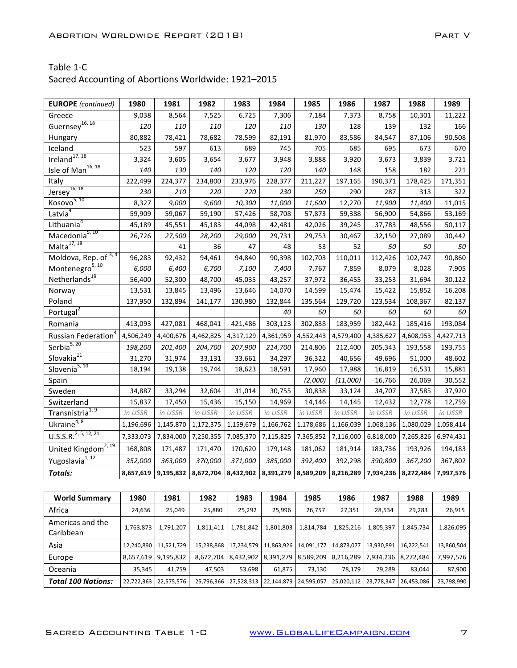| <b>EUROPE</b> (continued)        | 1980      | 1981      | 1982      | 1983      | 1984                                    | 1985      | 1986      | 1987                | 1988      | 1989      |
|----------------------------------|-----------|-----------|-----------|-----------|-----------------------------------------|-----------|-----------|---------------------|-----------|-----------|
| Greece                           | 9,038     | 8,564     | 7,525     | 6,725     | 7,306                                   | 7,184     | 7,373     | 8,758               | 10,301    | 11,222    |
| Guernsey <sup>16, 18</sup>       | 120       | 110       | 110       | 120       | 110                                     | 130       | 128       | 139                 | 132       | 166       |
| Hungary                          | 80,882    | 78,421    | 78,682    | 78,599    | 82,191                                  | 81,970    | 83,586    | 84,547              | 87,106    | 90,508    |
| Iceland                          | 523       | 597       | 613       | 689       | 745                                     | 705       | 685       | 695                 | 673       | 670       |
| Ireland <sup>17, 18</sup>        | 3,324     | 3,605     | 3,654     | 3,677     | 3,948                                   | 3,888     | 3,920     | 3,673               | 3,839     | 3,721     |
| Isle of Man <sup>16, 18</sup>    | 140       | 130       | 140       | 120       | 120                                     | 140       | 148       | 158                 | 182       | 221       |
| Italy                            | 222,499   | 224,377   | 234,800   | 233,976   | 228,377                                 | 211,227   | 197,165   | 190,371             | 178,425   | 171,351   |
| $Jersey^{16, 18}$                | 230       | 210       | 220       | 220       | 230                                     | 250       | 290       | 287                 | 313       | 322       |
| Kosovo <sup>5, 10</sup>          | 8,327     | 9,000     | 9,600     | 10,300    | 11,000                                  | 11,600    | 12,270    | 11,900              | 11,400    | 11,015    |
| Latvia <sup>4</sup>              | 59,909    | 59,067    | 59,190    | 57,426    | 58,708                                  | 57,873    | 59,388    | 56,900              | 54,866    | 53,169    |
| Lithuania <sup>4</sup>           | 45,189    | 45,551    | 45,183    | 44,098    | 42,481                                  | 42,026    | 39,245    | 37,783              | 48,556    | 50,117    |
| Macedonia <sup>5, 10</sup>       | 26,726    | 27,500    | 28,200    | 29,000    | 29,731                                  | 29,753    | 30,467    | 32,150              | 27,089    | 30,442    |
| Malta $17,18$                    |           | 41        | 36        | 47        | 48                                      | 53        | 52        | 50                  | 50        | 50        |
| Moldova, Rep. of 3,4             | 96,283    | 92,432    | 94,461    | 94,840    | 90,398                                  | 102,703   | 110,011   | 112,426             | 102,747   | 90,860    |
| Montenegro <sup>5, 10</sup>      | 6,000     | 6,400     | 6,700     | 7,100     | 7,400                                   | 7,767     | 7,859     | 8,079               | 8,028     | 7,905     |
| Netherlands <sup>19</sup>        | 56,400    | 52,300    | 48,700    | 45,035    | 43,257                                  | 37,972    | 36,455    | 33,253              | 31,694    | 30,122    |
| Norway                           | 13,531    | 13,845    | 13,496    | 13,646    | 14,070                                  | 14,599    | 15,474    | 15,422              | 15,852    | 16,208    |
| Poland                           | 137,950   | 132,894   | 141,177   | 130,980   | 132,844                                 | 135,564   | 129,720   | 123,534             | 108,367   | 82,137    |
| Portugal <sup>2</sup>            |           |           |           |           | 40                                      | 60        | 60        | 60                  | 60        | 60        |
| Romania                          | 413,093   | 427,081   | 468,041   | 421,486   | 303,123                                 | 302,838   | 183,959   | 182,442             | 185,416   | 193,084   |
| Russian Federation <sup>4</sup>  | 4,506,249 | 4,400,676 | 4,462,825 | 4,317,129 | 4,361,959                               | 4,552,443 | 4,579,400 | 4,385,627           | 4,608,953 | 4,427,713 |
| Serbia <sup>5, 20</sup>          | 198,200   | 201,400   | 204,700   | 207,900   | 214,700                                 | 214,806   | 212,400   | 205,343             | 193,558   | 193,755   |
| Slovakia <sup>11</sup>           | 31,270    | 31,974    | 33,131    | 33,661    | 34,297                                  | 36,322    | 40,656    | 49,696              | 51,000    | 48,602    |
| Slovenia $5,10$                  | 18,194    | 19,138    | 19,744    | 18,623    | 18,591                                  | 17,960    | 17,988    | 16,819              | 16,531    | 15,881    |
| Spain                            |           |           |           |           |                                         | (2,000)   | (11,000)  | 16,766              | 26,069    | 30,552    |
| Sweden                           | 34,887    | 33,294    | 32,604    | 31,014    | 30,755                                  | 30,838    | 33,124    | 34,707              | 37,585    | 37,920    |
| Switzerland                      | 15,837    | 17,450    | 15,436    | 15,150    | 14,969                                  | 14,146    | 14,145    | 12,432              | 12,778    | 12,759    |
| Transnistria <sup>1, 9</sup>     | in USSR   | in USSR   | in USSR   | in USSR   | in USSR                                 | in USSR   | in USSR   | in USSR             | in USSR   | in USSR   |
| Ukraine <sup>4, 8</sup>          | 1,196,696 | 1,145,870 | 1,172,375 | 1,159,679 | 1,166,762                               | 1,178,686 | 1,166,039 | 1,068,136           | 1,080,029 | 1,058,414 |
| U.S.S.R. <sup>2, 5, 12, 21</sup> | 7,333,073 | 7,834,000 | 7,250,355 | 7,085,370 | 7,115,825                               | 7,365,852 | 7,116,000 | 6,818,000           | 7,265,826 | 6,974,431 |
| United Kingdom <sup>2, 19</sup>  | 168,808   | 171,487   | 171,470   | 170,620   | 179,148                                 | 181,062   | 181,914   | 183,736             | 193,926   | 194,183   |
| Yugoslavia <sup>1, 12</sup>      | 352,000   | 363,000   | 370,000   | 371,000   | 385,000                                 | 392,400   | 392,298   | 390,800             | 367,200   | 367,802   |
| <b>Totals:</b>                   | 8,657,619 | 9,195,832 |           |           | 8,672,704 8,432,902 8,391,279 8,589,209 |           | 8,216,289 | 7,934,236 8,272,484 |           | 7,997,576 |

| <b>World Summary</b>          | 1980                    | 1981       | 1982       | 1983       | 1984                | 1985       | 1986       | 1987                | 1988       | 1989       |
|-------------------------------|-------------------------|------------|------------|------------|---------------------|------------|------------|---------------------|------------|------------|
| Africa                        | 24,636                  | 25,049     | 25,880     | 25,292     | 25,996              | 26,757     | 27,351     | 28,534              | 29,283     | 26,915     |
| Americas and the<br>Caribbean | 1,763,873               | 1,791,207  | 1,811,411  | 1,781,842  | 1,801,803           | 1,814,784  | 1,825,216  | 1,805,397           | 1,845,734  | 1,826,095  |
| Asia                          | 12,240,890   11,521,729 |            | 15,238,868 | 17,234,579 | 11,863,926          | 14,091,177 | 14,873,077 | 13,930,891          | 16.222.541 | 13,860,504 |
| Europe                        | 8,657,619               | 9,195,832  | 8.672.704  |            | 8,432,902 8,391,279 | 8,589,209  | 8,216,289  | 7,934,236 8,272,484 |            | 7,997,576  |
| Oceania                       | 35,345                  | 41,759     | 47,503     | 53,698     | 61,875              | 73,130     | 78,179     | 79.289              | 83,044     | 87,900     |
| <b>Total 100 Nations:</b>     | 22,722,363              | 22,575,576 | 25.796.366 | 27,528,313 | 22,144,879          | 24,595,057 | 25,020,112 | 23.778.347          | 26.453.086 | 23,798,990 |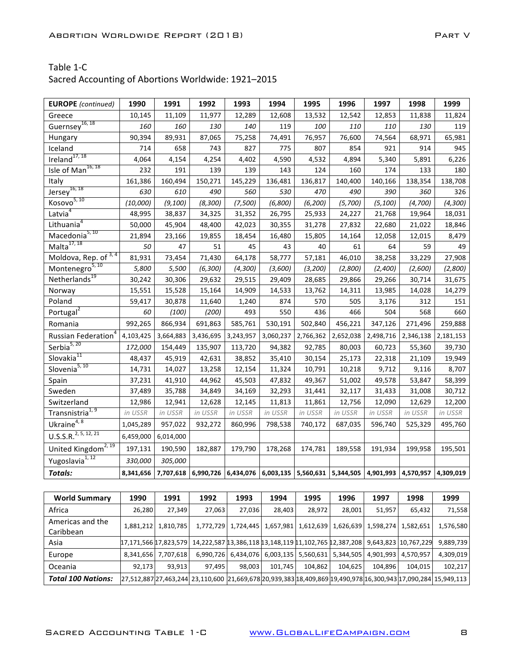| <b>EUROPE</b> (continued)       | 1990      | 1991                                                                                                | 1992      | 1993      | 1994      | 1995      | 1996      | 1997      | 1998      | 1999      |
|---------------------------------|-----------|-----------------------------------------------------------------------------------------------------|-----------|-----------|-----------|-----------|-----------|-----------|-----------|-----------|
| Greece                          | 10,145    | 11,109                                                                                              | 11,977    | 12,289    | 12,608    | 13,532    | 12,542    | 12,853    | 11,838    | 11,824    |
| Guernsey <sup>16, 18</sup>      | 160       | 160                                                                                                 | 130       | 140       | 119       | 100       | 110       | 110       | 130       | 119       |
| Hungary                         | 90,394    | 89,931                                                                                              | 87,065    | 75,258    | 74,491    | 76,957    | 76,600    | 74,564    | 68,971    | 65,981    |
| Iceland                         | 714       | 658                                                                                                 | 743       | 827       | 775       | 807       | 854       | 921       | 914       | 945       |
| Ireland <sup>17, 18</sup>       | 4,064     | 4,154                                                                                               | 4,254     | 4,402     | 4,590     | 4,532     | 4,894     | 5,340     | 5,891     | 6,226     |
| Isle of Man <sup>16, 18</sup>   | 232       | 191                                                                                                 | 139       | 139       | 143       | 124       | 160       | 174       | 133       | 180       |
| Italy                           | 161,386   | 160,494                                                                                             | 150,271   | 145,229   | 136,481   | 136,817   | 140,400   | 140,166   | 138,354   | 138,708   |
| $Jersey^{16, 18}$               | 630       | 610                                                                                                 | 490       | 560       | 530       | 470       | 490       | 390       | 360       | 326       |
| Kosovo <sup>5, 10</sup>         | (10,000)  | (9, 100)                                                                                            | (8, 300)  | (7,500)   | (6,800)   | (6, 200)  | (5,700)   | (5, 100)  | (4,700)   | (4, 300)  |
| Latvia <sup>4</sup>             | 48,995    | 38,837                                                                                              | 34,325    | 31,352    | 26,795    | 25,933    | 24,227    | 21,768    | 19,964    | 18,031    |
| Lithuania <sup>4</sup>          | 50,000    | 45,904                                                                                              | 48,400    | 42,023    | 30,355    | 31,278    | 27,832    | 22,680    | 21,022    | 18,846    |
| Macedonia <sup>5, 10</sup>      | 21,894    | 23,166                                                                                              | 19,855    | 18,454    | 16,480    | 15,805    | 14,164    | 12,058    | 12,015    | 8,479     |
| Malta $17, 18$                  | 50        | 47                                                                                                  | 51        | 45        | 43        | 40        | 61        | 64        | 59        | 49        |
| Moldova, Rep. of 3,4            | 81,931    | 73,454                                                                                              | 71,430    | 64,178    | 58,777    | 57,181    | 46,010    | 38,258    | 33,229    | 27,908    |
| Montenegro <sup>5, 10</sup>     | 5,800     | 5,500                                                                                               | (6, 300)  | (4, 300)  | (3,600)   | (3,200)   | (2,800)   | (2,400)   | (2,600)   | (2,800)   |
| Netherlands <sup>19</sup>       | 30,242    | 30,306                                                                                              | 29,632    | 29,515    | 29,409    | 28,685    | 29,866    | 29,266    | 30,714    | 31,675    |
| Norway                          | 15,551    | 15,528                                                                                              | 15,164    | 14,909    | 14,533    | 13,762    | 14,311    | 13,985    | 14,028    | 14,279    |
| Poland                          | 59,417    | 30,878                                                                                              | 11,640    | 1,240     | 874       | 570       | 505       | 3,176     | 312       | 151       |
| Portugal <sup>2</sup>           | 60        | (100)                                                                                               | (200)     | 493       | 550       | 436       | 466       | 504       | 568       | 660       |
| Romania                         | 992,265   | 866,934                                                                                             | 691,863   | 585,761   | 530,191   | 502,840   | 456,221   | 347,126   | 271,496   | 259,888   |
| Russian Federation <sup>4</sup> | 4,103,425 | 3,664,883                                                                                           | 3,436,695 | 3,243,957 | 3,060,237 | 2,766,362 | 2,652,038 | 2,498,716 | 2,346,138 | 2,181,153 |
| Serbia <sup>5, 20</sup>         | 172,000   | 154,449                                                                                             | 135,907   | 113,720   | 94,382    | 92,785    | 80,003    | 60,723    | 55,360    | 39,730    |
| Slovakia <sup>11</sup>          | 48,437    | 45,919                                                                                              | 42,631    | 38,852    | 35,410    | 30,154    | 25,173    | 22,318    | 21,109    | 19,949    |
| Slovenia <sup>5, 10</sup>       | 14,731    | 14,027                                                                                              | 13,258    | 12,154    | 11,324    | 10,791    | 10,218    | 9,712     | 9,116     | 8,707     |
| Spain                           | 37,231    | 41,910                                                                                              | 44,962    | 45,503    | 47,832    | 49,367    | 51,002    | 49,578    | 53,847    | 58,399    |
| Sweden                          | 37,489    | 35,788                                                                                              | 34,849    | 34,169    | 32,293    | 31,441    | 32,117    | 31,433    | 31,008    | 30,712    |
| Switzerland                     | 12,986    | 12,941                                                                                              | 12,628    | 12,145    | 11,813    | 11,861    | 12,756    | 12,090    | 12,629    | 12,200    |
| Transnistria <sup>1, 9</sup>    | in USSR   | in USSR                                                                                             | in USSR   | in USSR   | in USSR   | in USSR   | in USSR   | in USSR   | in USSR   | in USSR   |
| Ukraine <sup>4, 8</sup>         | 1,045,289 | 957,022                                                                                             | 932,272   | 860,996   | 798,538   | 740,172   | 687,035   | 596,740   | 525,329   | 495,760   |
| U.S.S.R. <sup>2,5,12,21</sup>   | 6,459,000 | 6,014,000                                                                                           |           |           |           |           |           |           |           |           |
| United Kingdom <sup>2, 19</sup> | 197,131   | 190,590                                                                                             | 182,887   | 179,790   | 178,268   | 174,781   | 189,558   | 191,934   | 199,958   | 195,501   |
| Yugoslavia <sup>1, 12</sup>     | 330,000   | 305,000                                                                                             |           |           |           |           |           |           |           |           |
| <b>Totals:</b>                  |           | 8,341,656 7,707,618 6,990,726 6,434,076 6,003,135 5,560,631 5,344,505 4,901,993 4,570,957 4,309,019 |           |           |           |           |           |           |           |           |

| <b>World Summary</b>          | 1990                  | 1991                  | 1992                                                                                                          | 1993                | 1994      | 1995                              | 1996    | 1997                              | 1998      | 1999      |
|-------------------------------|-----------------------|-----------------------|---------------------------------------------------------------------------------------------------------------|---------------------|-----------|-----------------------------------|---------|-----------------------------------|-----------|-----------|
| Africa                        | 26,280                | 27,349                | 27,063                                                                                                        | 27,036              | 28,403    | 28,972                            | 28,001  | 51,957                            | 65,432    | 71,558    |
| Americas and the<br>Caribbean | 1,881,212             | 1,810,785             |                                                                                                               | 1,772,729 1,724,445 | 1,657,981 |                                   |         | 1,612,639   1,626,639   1,598,274 | 1,582,651 | 1,576,580 |
| Asia                          | 17,171,566 17,823,579 |                       | 14,222,587 13,386,118 13,148,119 11,102,765 12,387,208   9,643,823   10,767,229                               |                     |           |                                   |         |                                   |           | 9,889,739 |
| Europe                        |                       | 8,341,656   7,707,618 | 6,990,726                                                                                                     | 6,434,076           |           | 6,003,135   5,560,631   5,344,505 |         | 4,901,993                         | 4,570,957 | 4,309,019 |
| Oceania                       | 92,173                | 93,913                | 97,495                                                                                                        | 98,003              | 101,745   | 104,862                           | 104,625 | 104,896                           | 104,015   | 102,217   |
| <b>Total 100 Nations:</b>     |                       |                       | 27,512,887 27,463,244 23,110,600 21,669,678 20,939,383 18,409,869 19,490,978 16,300,943 17,090,284 15,949,113 |                     |           |                                   |         |                                   |           |           |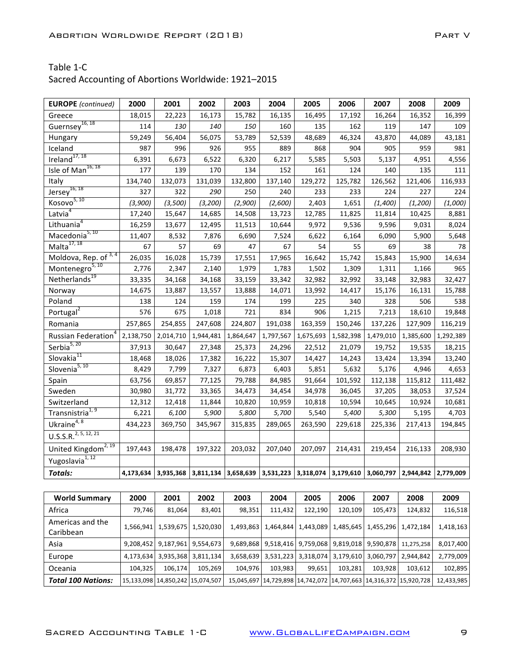| <b>EUROPE</b> (continued)        | 2000      | 2001                                                                                                | 2002      | 2003      | 2004                | 2005    | 2006      | 2007      | 2008      | 2009      |
|----------------------------------|-----------|-----------------------------------------------------------------------------------------------------|-----------|-----------|---------------------|---------|-----------|-----------|-----------|-----------|
| Greece                           | 18,015    | 22,223                                                                                              | 16,173    | 15,782    | 16,135              | 16,495  | 17,192    | 16,264    | 16,352    | 16,399    |
| Guernsey <sup>16, 18</sup>       | 114       | 130                                                                                                 | 140       | 150       | 160                 | 135     | 162       | 119       | 147       | 109       |
| Hungary                          | 59,249    | 56,404                                                                                              | 56,075    | 53,789    | 52,539              | 48,689  | 46,324    | 43,870    | 44,089    | 43,181    |
| Iceland                          | 987       | 996                                                                                                 | 926       | 955       | 889                 | 868     | 904       | 905       | 959       | 981       |
| Ireland <sup>17, 18</sup>        | 6,391     | 6,673                                                                                               | 6,522     | 6,320     | 6,217               | 5,585   | 5,503     | 5,137     | 4,951     | 4,556     |
| Isle of Man <sup>16, 18</sup>    | 177       | 139                                                                                                 | 170       | 134       | 152                 | 161     | 124       | 140       | 135       | 111       |
| Italy                            | 134,740   | 132,073                                                                                             | 131,039   | 132,800   | 137,140             | 129,272 | 125,782   | 126,562   | 121,406   | 116,933   |
| $Jersey^{16, 18}$                | 327       | 322                                                                                                 | 290       | 250       | 240                 | 233     | 233       | 224       | 227       | 224       |
| Kosovo <sup>5, 10</sup>          | (3,900)   | (3,500)                                                                                             | (3, 200)  | (2,900)   | (2,600)             | 2,403   | 1,651     | (1,400)   | (1, 200)  | (1,000)   |
| Latvia <sup>4</sup>              | 17,240    | 15,647                                                                                              | 14,685    | 14,508    | 13,723              | 12,785  | 11,825    | 11,814    | 10,425    | 8,881     |
| Lithuania <sup>4</sup>           | 16,259    | 13,677                                                                                              | 12,495    | 11,513    | 10,644              | 9,972   | 9,536     | 9,596     | 9,031     | 8,024     |
| Macedonia <sup>5, 10</sup>       | 11,407    | 8,532                                                                                               | 7,876     | 6,690     | 7,524               | 6,622   | 6,164     | 6,090     | 5,900     | 5,648     |
| Malta $17, 18$                   | 67        | 57                                                                                                  | 69        | 47        | 67                  | 54      | 55        | 69        | 38        | 78        |
| Moldova, Rep. of 3,4             | 26,035    | 16,028                                                                                              | 15,739    | 17,551    | 17,965              | 16,642  | 15,742    | 15,843    | 15,900    | 14,634    |
| Montenegro <sup>5, 10</sup>      | 2,776     | 2,347                                                                                               | 2,140     | 1,979     | 1,783               | 1,502   | 1,309     | 1,311     | 1,166     | 965       |
| Netherlands <sup>19</sup>        | 33,335    | 34,168                                                                                              | 34,168    | 33,159    | 33,342              | 32,982  | 32,992    | 33,148    | 32,983    | 32,427    |
| Norway                           | 14,675    | 13,887                                                                                              | 13,557    | 13,888    | 14,071              | 13,992  | 14,417    | 15,176    | 16,131    | 15,788    |
| Poland                           | 138       | 124                                                                                                 | 159       | 174       | 199                 | 225     | 340       | 328       | 506       | 538       |
| Portugal <sup>2</sup>            | 576       | 675                                                                                                 | 1,018     | 721       | 834                 | 906     | 1,215     | 7,213     | 18,610    | 19,848    |
| Romania                          | 257,865   | 254,855                                                                                             | 247,608   | 224,807   | 191,038             | 163,359 | 150,246   | 137,226   | 127,909   | 116,219   |
| Russian Federation <sup>4</sup>  | 2,138,750 | 2,014,710                                                                                           | 1,944,481 | 1,864,647 | 1,797,567 1,675,693 |         | 1,582,398 | 1,479,010 | 1,385,600 | 1,292,389 |
| Serbia <sup>5, 20</sup>          | 37,913    | 30,647                                                                                              | 27,348    | 25,373    | 24,296              | 22,512  | 21,079    | 19,752    | 19,535    | 18,215    |
| Slovakia <sup>11</sup>           | 18,468    | 18,026                                                                                              | 17,382    | 16,222    | 15,307              | 14,427  | 14,243    | 13,424    | 13,394    | 13,240    |
| Slovenia <sup>5, 10</sup>        | 8,429     | 7,799                                                                                               | 7,327     | 6,873     | 6,403               | 5,851   | 5,632     | 5,176     | 4,946     | 4,653     |
| Spain                            | 63,756    | 69,857                                                                                              | 77,125    | 79,788    | 84,985              | 91,664  | 101,592   | 112,138   | 115,812   | 111,482   |
| Sweden                           | 30,980    | 31,772                                                                                              | 33,365    | 34,473    | 34,454              | 34,978  | 36,045    | 37,205    | 38,053    | 37,524    |
| Switzerland                      | 12,312    | 12,418                                                                                              | 11,844    | 10,820    | 10,959              | 10,818  | 10,594    | 10,645    | 10,924    | 10,681    |
| Transnistria <sup>1, 9</sup>     | 6,221     | 6,100                                                                                               | 5,900     | 5,800     | 5,700               | 5,540   | 5,400     | 5,300     | 5,195     | 4,703     |
| Ukraine <sup>4, 8</sup>          | 434,223   | 369,750                                                                                             | 345,967   | 315,835   | 289,065             | 263,590 | 229,618   | 225,336   | 217,413   | 194,845   |
| U.S.S.R. <sup>2, 5, 12, 21</sup> |           |                                                                                                     |           |           |                     |         |           |           |           |           |
| United Kingdom <sup>2, 19</sup>  | 197,443   | 198,478                                                                                             | 197,322   | 203,032   | 207,040             | 207,097 | 214,431   | 219,454   | 216,133   | 208,930   |
| Yugoslavia <sup>1, 12</sup>      |           |                                                                                                     |           |           |                     |         |           |           |           |           |
| <b>Totals:</b>                   |           | 4,173,634 3,935,368 3,811,134 3,658,639 3,531,223 3,318,074 3,179,610 3,060,797 2,944,842 2,779,009 |           |           |                     |         |           |           |           |           |

| <b>World Summary</b>          | 2000      | 2001                                 | 2002                  | 2003    | 2004                                    | 2005    | 2006    | 2007                                                                        | 2008                  | 2009       |
|-------------------------------|-----------|--------------------------------------|-----------------------|---------|-----------------------------------------|---------|---------|-----------------------------------------------------------------------------|-----------------------|------------|
| Africa                        | 79,746    | 81,064                               | 83,401                | 98,351  | 111,432                                 | 122,190 | 120,109 | 105,473                                                                     | 124,832               | 116,518    |
| Americas and the<br>Caribbean | 1,566,941 |                                      | 1,539,675   1,520,030 |         |                                         |         |         | 1,493,863   1,464,844   1,443,089   1,485,645   1,455,296   1,472,184       |                       | 1,418,163  |
| Asia                          | 9,208,452 | 9,187,961 9,554,673                  |                       |         |                                         |         |         | 9,689,868 9,518,416 9,759,068 9,819,018 9,590,878 11,275,258                |                       | 8,017,400  |
| Europe                        | 4,173,634 | 3,935,368                            | 3,811,134             |         | 3,658,639 3,531,223 3,318,074 3,179,610 |         |         |                                                                             | 3,060,797   2,944,842 | 2,779,009  |
| Oceania                       | 104,325   | 106,174                              | 105,269               | 104,976 | 103,983                                 | 99,651  | 103,281 | 103,928                                                                     | 103,612               | 102,895    |
| <b>Total 100 Nations:</b>     |           | 15,133,098   14,850,242   15,074,507 |                       |         |                                         |         |         | 15,045,697   14,729,898   14,742,072   14,707,663   14,316,372   15,920,728 |                       | 12,433,985 |